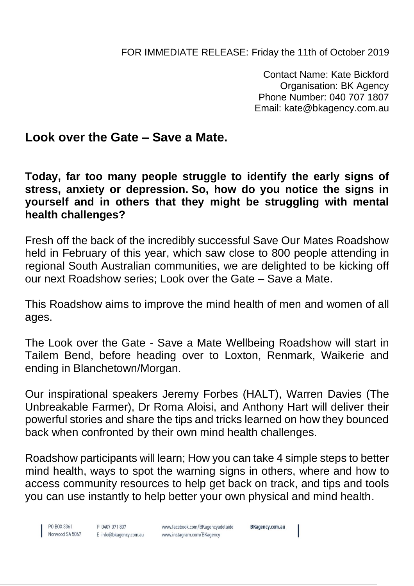FOR IMMEDIATE RELEASE: Friday the 11th of October 2019

Contact Name: Kate Bickford Organisation: BK Agency Phone Number: 040 707 1807 Email: kate@bkagency.com.au

## **Look over the Gate – Save a Mate.**

**Today, far too many people struggle to identify the early signs of stress, anxiety or depression. So, how do you notice the signs in yourself and in others that they might be struggling with mental health challenges?**

Fresh off the back of the incredibly successful Save Our Mates Roadshow held in February of this year, which saw close to 800 people attending in regional South Australian communities, we are delighted to be kicking off our next Roadshow series; Look over the Gate – Save a Mate.

This Roadshow aims to improve the mind health of men and women of all ages.

The Look over the Gate - Save a Mate Wellbeing Roadshow will start in Tailem Bend, before heading over to Loxton, Renmark, Waikerie and ending in Blanchetown/Morgan.

Our inspirational speakers Jeremy Forbes (HALT), Warren Davies (The Unbreakable Farmer), Dr Roma Aloisi, and Anthony Hart will deliver their powerful stories and share the tips and tricks learned on how they bounced back when confronted by their own mind health challenges.

Roadshow participants will learn; How you can take 4 simple steps to better mind health, ways to spot the warning signs in others, where and how to access community resources to help get back on track, and tips and tools you can use instantly to help better your own physical and mind health.

PO BOX 3361 Norwood SA 5067

P 0407 071 807 E info@bkagency.com.au www.facebook.com/BKagencyadelaide www.instagram.com/BKagency

BKagency.com.au